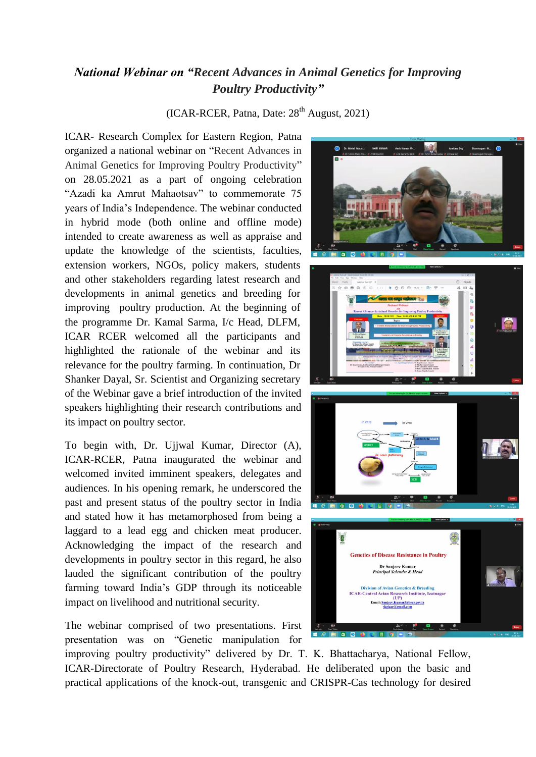## *National Webinar on "Recent Advances in Animal Genetics for Improving Poultry Productivity"*

 $(ICAR-RCER, Patna, Date: 28<sup>th</sup> August, 2021)$ 

ICAR- Research Complex for Eastern Region, Patna organized a national webinar on "Recent Advances in Animal Genetics for Improving Poultry Productivity" on 28.05.2021 as a part of ongoing celebration "Azadi ka Amrut Mahaotsav" to commemorate 75 years of India's Independence. The webinar conducted in hybrid mode (both online and offline mode) intended to create awareness as well as appraise and update the knowledge of the scientists, faculties, extension workers, NGOs, policy makers, students and other stakeholders regarding latest research and developments in animal genetics and breeding for improving poultry production. At the beginning of the programme Dr. Kamal Sarma, I/c Head, DLFM, ICAR RCER welcomed all the participants and highlighted the rationale of the webinar and its relevance for the poultry farming. In continuation, Dr Shanker Dayal, Sr. Scientist and Organizing secretary of the Webinar gave a brief introduction of the invited speakers highlighting their research contributions and its impact on poultry sector.

To begin with, Dr. Ujjwal Kumar, Director (A), ICAR-RCER, Patna inaugurated the webinar and welcomed invited imminent speakers, delegates and audiences. In his opening remark, he underscored the past and present status of the poultry sector in India and stated how it has metamorphosed from being a laggard to a lead egg and chicken meat producer. Acknowledging the impact of the research and developments in poultry sector in this regard, he also lauded the significant contribution of the poultry farming toward India's GDP through its noticeable impact on livelihood and nutritional security.

The webinar comprised of two presentations. First presentation was on "Genetic manipulation for

improving poultry productivity" delivered by Dr. T. K. Bhattacharya, National Fellow, ICAR-Directorate of Poultry Research, Hyderabad. He deliberated upon the basic and practical applications of the knock-out, transgenic and CRISPR-Cas technology for desired